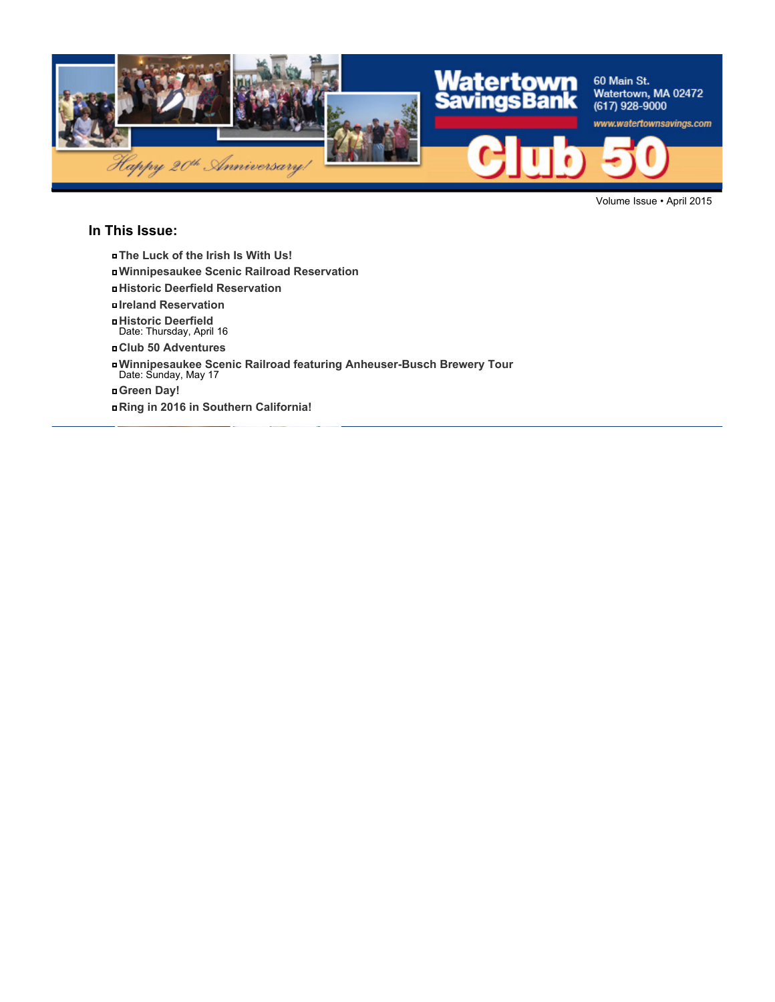

Volume Issue • April 2015

### **In This Issue:**

- **The Luck of the Irish Is With Us!**
- **Winnipesaukee Scenic Railroad Reservation**
- **Historic Deerfield Reservation**
- **Ireland Reservation**
- **Historic Deerfield** Date: Thursday, April 16
- **Club 50 Adventures**
- **Winnipesaukee Scenic Railroad featuring Anheuser-Busch Brewery Tour** Date: Sunday, May 17
- 
- **Green Day!**
- **Ring in 2016 in Southern California!**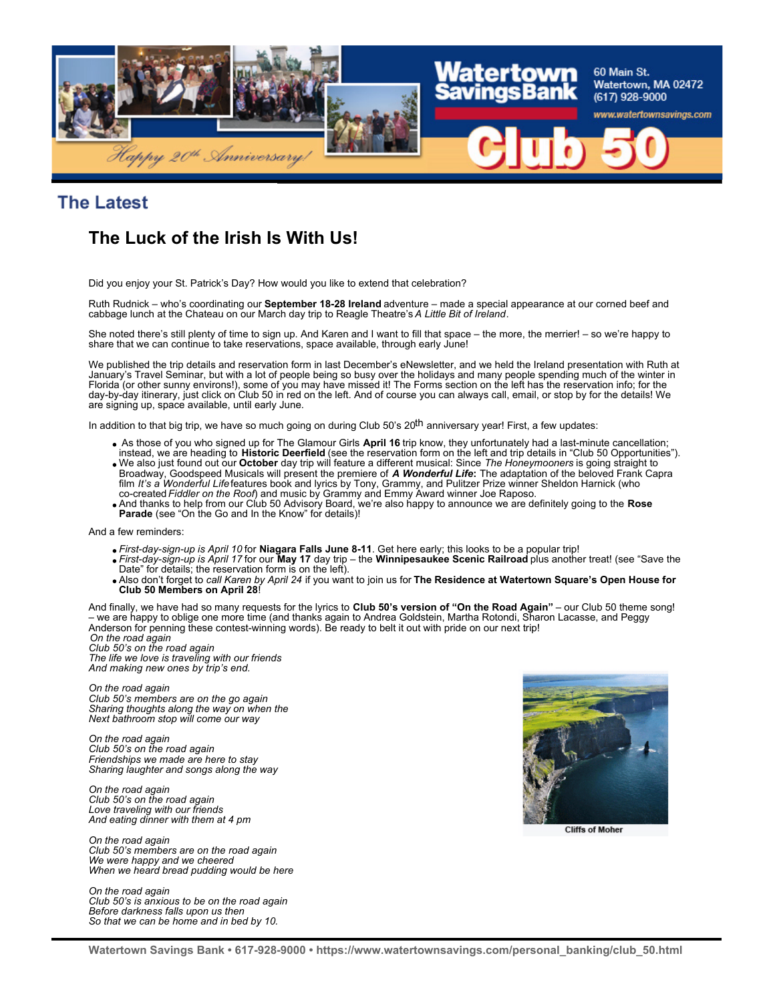

**The Latest** 

# **The Luck of the Irish Is With Us!**

Did you enjoy your St. Patrick's Day? How would you like to extend that celebration?

Ruth Rudnick – who's coordinating our **September 18-28 Ireland** adventure – made a special appearance at our corned beef and cabbage lunch at the Chateau on our March day trip to Reagle Theatre's *A Little Bit of Ireland*.

She noted there's still plenty of time to sign up. And Karen and I want to fill that space – the more, the merrier! – so we're happy to share that we can continue to take reservations, space available, through early June!

We published the trip details and reservation form in last December's eNewsletter, and we held the Ireland presentation with Ruth at January's Travel Seminar, but with a lot of people being so busy over the holidays and many people spending much of the winter in Florida (or other sunny environs!), some of you may have missed it! The Forms section on the left has the reservation info; for the day-by-day itinerary, just click on Club 50 in red on the left. And of course you can always call, email, or stop by for the details! We are signing up, space available, until early June.

In addition to that big trip, we have so much going on during Club 50's 20<sup>th</sup> anniversary year! First, a few updates:

- As those of you who signed up for The Glamour Girls **April 16** trip know, they unfortunately had a last-minute cancellation; instead, we are heading to **Historic Deerfield** (see the reservation form on the left and trip details in "Club 50 Opportunities").
- We also just found out our **October** day trip will feature a different musical: Since *The Honeymooners* is going straight to Broadway, Goodspeed Musicals will present the premiere of **A Wonderful Life:** The adaptation of the beloved Frank Capra<br>film *It's a Wonderful Life* features book and lyrics by Tony, Grammy, and Pulitzer Prize winner Sheld co-created *Fiddler on the Roof*) and music by Grammy and Emmy Award winner Joe Raposo.
- And thanks to help from our Club 50 Advisory Board, we're also happy to announce we are definitely going to the **Rose** Parade (see "On the Go and In the Know" for details)!

And a few reminders:

- *First-day-sign-up is April 10* for **Niagara Falls June 8-11**. Get here early; this looks to be a popular trip!
- *First-day-sign-up is April 17* for our **May 17** day trip the **Winnipesaukee Scenic Railroad** plus another treat! (see "Save the Date" for details; the reservation form is on the left).
- Also don't forget to *call Karen by April 24* if you want to join us for **The Residence at Watertown Square's Open House for Club 50 Members on April 28**!

And finally, we have had so many requests for the lyrics to **Club 50's version of "On the Road Again"** – our Club 50 theme song! – we are happy to oblige one more time (and thanks again to Andrea Goldstein, Martha Rotondi, Sharon Lacasse, and Peggy Anderson for penning these contest-winning words). Be ready to belt it out with pride on our next trip! *On the road again*

*Club 50's on the road again The life we love is traveling with our friends And making new ones by trip's end.*

*On the road again Club 50's members are on the go again Sharing thoughts along the way on when the Next bathroom stop will come our way*

*On the road again Club 50's on the road again Friendships we made are here to stay Sharing laughter and songs along the way*

*On the road again Club 50's on the road again Love traveling with our friends And eating dinner with them at 4 pm*

*On the road again Club 50's members are on the road again We were happy and we cheered When we heard bread pudding would be here*

*On the road again Club 50's is anxious to be on the road again Before darkness falls upon us then So that we can be home and in bed by 10.*



**Cliffs of Moher**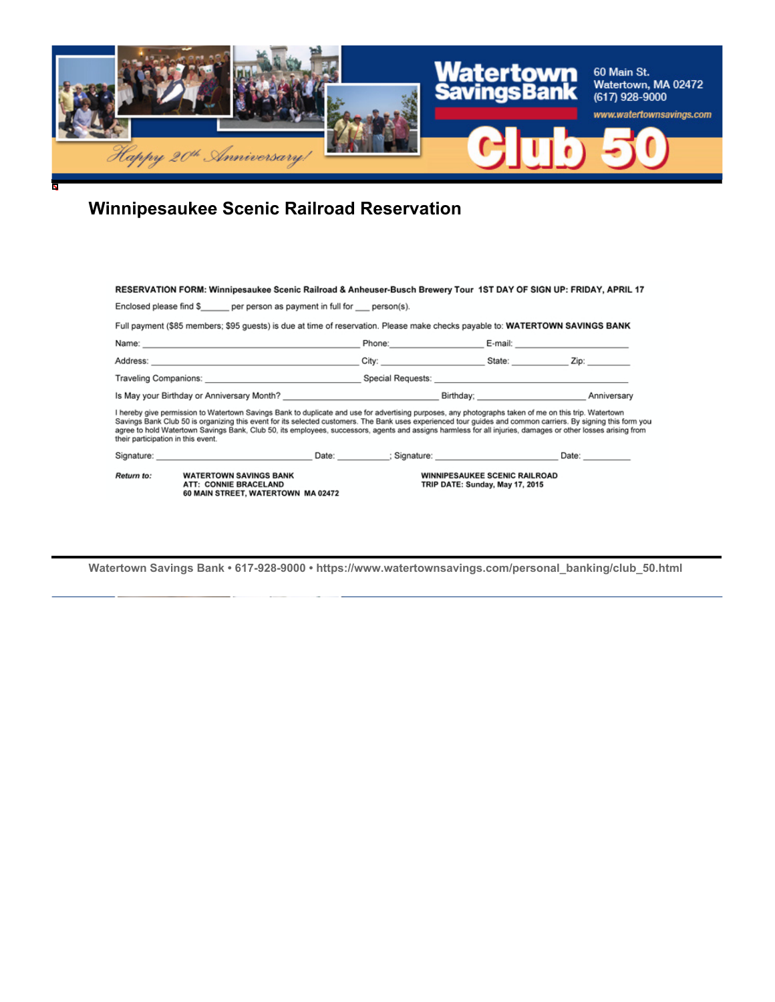

# **Winnipesaukee Scenic Railroad Reservation**

| RESERVATION FORM: Winnipesaukee Scenic Railroad & Anheuser-Busch Brewery Tour 1ST DAY OF SIGN UP: FRIDAY, APRIL 17                                                                                                                                                                                                                                                                                                                                                                                                           |                                                                         |                    |
|------------------------------------------------------------------------------------------------------------------------------------------------------------------------------------------------------------------------------------------------------------------------------------------------------------------------------------------------------------------------------------------------------------------------------------------------------------------------------------------------------------------------------|-------------------------------------------------------------------------|--------------------|
| Enclosed please find \$ per person as payment in full for person(s).                                                                                                                                                                                                                                                                                                                                                                                                                                                         |                                                                         |                    |
| Full payment (\$85 members; \$95 guests) is due at time of reservation. Please make checks payable to: WATERTOWN SAVINGS BANK                                                                                                                                                                                                                                                                                                                                                                                                |                                                                         |                    |
| Name: 2008. 2009. 2009. 2009. 2009. 2009. 2009. 2009. 2009. 2009. 2009. 2009. 2009. 2009. 2009. 2009. 2009. 20                                                                                                                                                                                                                                                                                                                                                                                                               |                                                                         |                    |
|                                                                                                                                                                                                                                                                                                                                                                                                                                                                                                                              |                                                                         |                    |
| Traveling Companions: <u>example and the second second Special Requests:</u> example and the second second second second second second second second second second second second second second second second second second second s                                                                                                                                                                                                                                                                                          |                                                                         |                    |
| Is May your Birthday or Anniversary Month? Notice that the state of the Birthday; North Anniversary Anniversary                                                                                                                                                                                                                                                                                                                                                                                                              |                                                                         |                    |
| I hereby give permission to Watertown Savings Bank to duplicate and use for advertising purposes, any photographs taken of me on this trip. Watertown<br>Savings Bank Club 50 is organizing this event for its selected customers. The Bank uses experienced tour guides and common carriers. By signing this form you<br>agree to hold Watertown Savings Bank, Club 50, its employees, successors, agents and assigns harmless for all injuries, damages or other losses arising from<br>their participation in this event. |                                                                         |                    |
| Signature: Signature: Signature: Signature: Signature: Signature: Signature: Signature: Signature: Signature: Signature: Signature: Signature: Signature: Signature: Signature: Signature: Signature: Signature: Signature: Si                                                                                                                                                                                                                                                                                               |                                                                         | Date: <u>Date:</u> |
| Return to:<br><b>WATERTOWN SAVINGS BANK</b><br>ATT: CONNIE BRACELAND<br>60 MAIN STREET, WATERTOWN MA 02472                                                                                                                                                                                                                                                                                                                                                                                                                   | <b>WINNIPESAUKEE SCENIC RAILROAD</b><br>TRIP DATE: Sunday, May 17, 2015 |                    |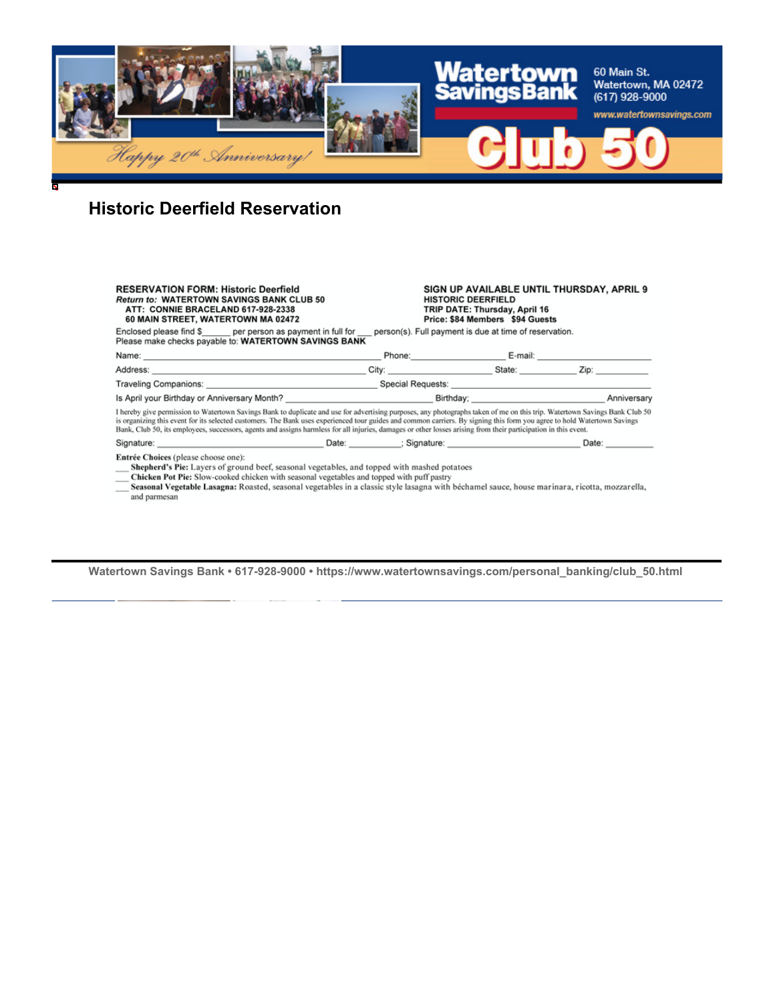

# **Historic Deerfield Reservation**

| <b>RESERVATION FORM: Historic Deerfield</b><br><b>Return to: WATERTOWN SAVINGS BANK CLUB 50</b><br>ATT: CONNIE BRACELAND 617-928-2338<br>60 MAIN STREET, WATERTOWN MA 02472                                                                                                                                                                                                                                                                                                                                               |  | SIGN UP AVAILABLE UNTIL THURSDAY, APRIL 9<br><b>HISTORIC DEERFIELD</b><br>TRIP DATE: Thursday, April 16<br>Price: \$84 Members \$94 Guests |  |                                                                                  |
|---------------------------------------------------------------------------------------------------------------------------------------------------------------------------------------------------------------------------------------------------------------------------------------------------------------------------------------------------------------------------------------------------------------------------------------------------------------------------------------------------------------------------|--|--------------------------------------------------------------------------------------------------------------------------------------------|--|----------------------------------------------------------------------------------|
| Enclosed please find \$ per person as payment in full for person(s). Full payment is due at time of reservation.<br>Please make checks payable to: WATERTOWN SAVINGS BANK                                                                                                                                                                                                                                                                                                                                                 |  |                                                                                                                                            |  |                                                                                  |
|                                                                                                                                                                                                                                                                                                                                                                                                                                                                                                                           |  |                                                                                                                                            |  | Phone: E-mail: _________________________ E-mail: _______________________________ |
|                                                                                                                                                                                                                                                                                                                                                                                                                                                                                                                           |  |                                                                                                                                            |  |                                                                                  |
|                                                                                                                                                                                                                                                                                                                                                                                                                                                                                                                           |  |                                                                                                                                            |  |                                                                                  |
|                                                                                                                                                                                                                                                                                                                                                                                                                                                                                                                           |  |                                                                                                                                            |  |                                                                                  |
| I hereby give permission to Watertown Savings Bank to duplicate and use for advertising purposes, any photographs taken of me on this trip. Watertown Savings Bank Club 50<br>is organizing this event for its selected customers. The Bank uses experienced tour guides and common carriers. By signing this form you agree to hold Watertown Savings<br>Bank, Club 50, its employees, successors, agents and assigns harmless for all injuries, damages or other losses arising from their participation in this event. |  |                                                                                                                                            |  |                                                                                  |
| Signature: Signature: Signature: Signature: Signature: Signature: Signature: Signature: Signature: Signature: Signature: Signature: Signature: Signature: Signature: Signature: Signature: Signature: Signature: Signature: Si                                                                                                                                                                                                                                                                                            |  |                                                                                                                                            |  | Date:                                                                            |
| Entrée Choices (please choose one):<br>Shepherd's Pie: Layers of ground beef, seasonal vegetables, and topped with mashed potatoes<br>Chicken Pot Pie: Slow-cooked chicken with seasonal vegetables and topped with puff pastry<br>Seasonal Vegetable Lasagna: Roasted, seasonal vegetables in a classic style lasagna with béchamel sauce, house marinara, ricotta, mozzarella.                                                                                                                                          |  |                                                                                                                                            |  |                                                                                  |

and parmesan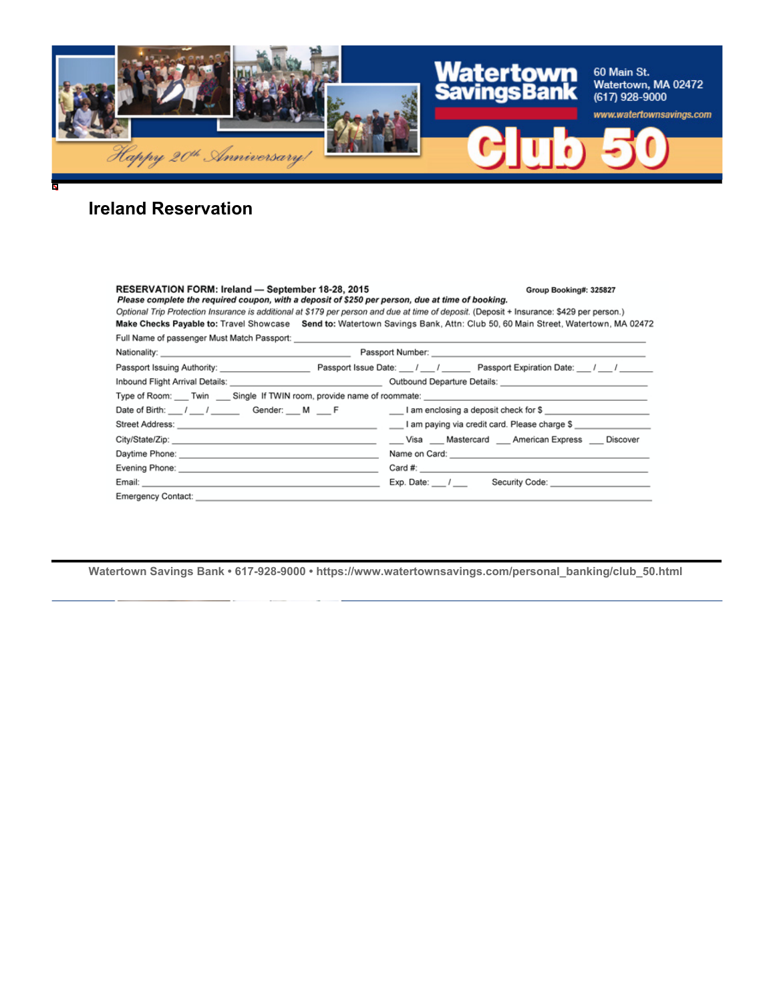

## **Ireland Reservation**

### RESERVATION FORM: Ireland - September 18-28, 2015

#### Group Booking#: 325827

Please complete the required coupon, with a deposit of \$250 per person, due at time of booking. Optional Trip Protection Insurance is additional at \$179 per person and due at time of deposit. (Deposit + Insurance: \$429 per person.) Make Checks Payable to: Travel Showcase Send to: Watertown Savings Bank, Attn: Club 50, 60 Main Street, Watertown, MA 02472 Full Name of passenger Must Match Passport:

| Passport Issuing Authority: New York 1997                                                                                                                                                                                            | Passport Issue Date: 1 1 / Passport Expiration Date: 1 / 1                                                      |  |  |  |
|--------------------------------------------------------------------------------------------------------------------------------------------------------------------------------------------------------------------------------------|-----------------------------------------------------------------------------------------------------------------|--|--|--|
|                                                                                                                                                                                                                                      | Inbound Flight Arrival Details: Cambridge Countries Countries Countries Countries Countries Countries Countries |  |  |  |
|                                                                                                                                                                                                                                      | Type of Room: ____ Twin ____ Single If TWIN room, provide name of roommate: ________________________            |  |  |  |
| Date of Birth: __ / __ / ___ Gender: __ M __ F                                                                                                                                                                                       | ___ I am enclosing a deposit check for \$ ______________________                                                |  |  |  |
|                                                                                                                                                                                                                                      | Lam paying via credit card. Please charge \$                                                                    |  |  |  |
|                                                                                                                                                                                                                                      | Visa Mastercard American Express Discover                                                                       |  |  |  |
| Daytime Phone: <u>contract and a series of the series of the series of the series of the series of the series of the series of the series of the series of the series of the series of the series of the series of the series of</u> |                                                                                                                 |  |  |  |
|                                                                                                                                                                                                                                      |                                                                                                                 |  |  |  |
| Email: _____________                                                                                                                                                                                                                 | Exp. Date: / Security Code:                                                                                     |  |  |  |
| <b>Emergency Contact:</b>                                                                                                                                                                                                            |                                                                                                                 |  |  |  |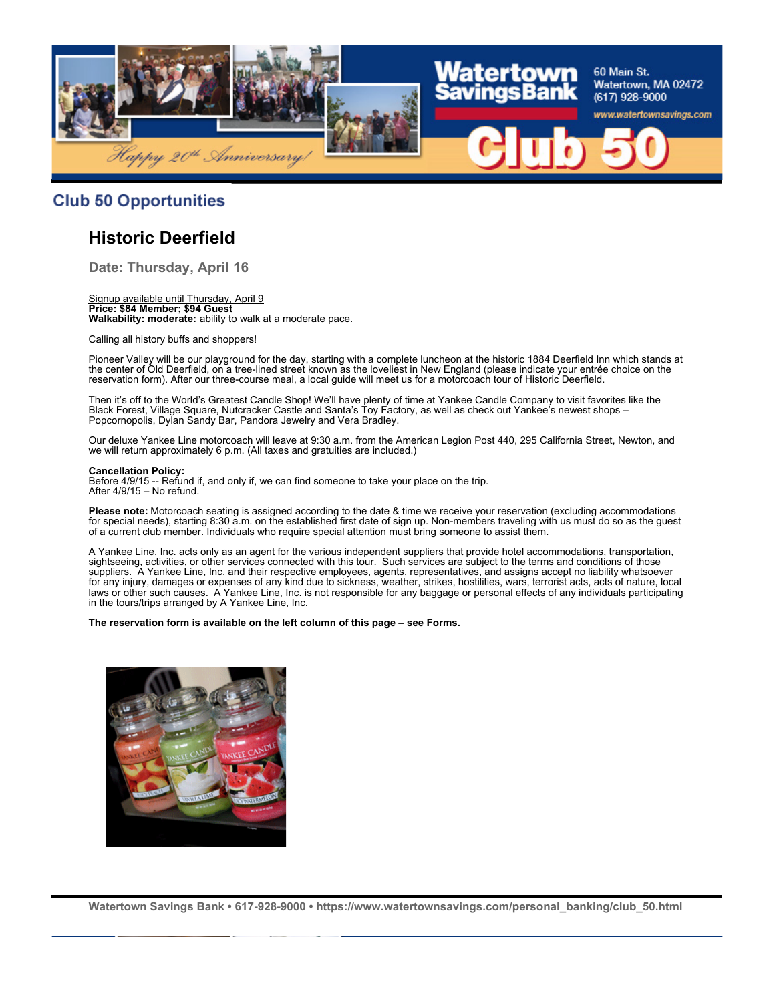

### **Club 50 Opportunities**

## **Historic Deerfield**

**Date: Thursday, April 16**

#### Signup available until Thursday, April 9 **Price: \$84 Member; \$94 Guest Walkability: moderate:** ability to walk at a moderate pace.

Calling all history buffs and shoppers!

Pioneer Valley will be our playground for the day, starting with a complete luncheon at the historic 1884 Deerfield Inn which stands at the center of Old Deerfield, on a tree-lined street known as the loveliest in New England (please indicate your entrée choice on the reservation form). After our three-course meal, a local guide will meet us for a motorcoach tour of Historic Deerfield.

Then it's off to the World's Greatest Candle Shop! We'll have plenty of time at Yankee Candle Company to visit favorites like the Black Forest, Village Square, Nutcracker Castle and Santa's Toy Factory, as well as check out Yankee's newest shops – Popcornopolis, Dylan Sandy Bar, Pandora Jewelry and Vera Bradley.

Our deluxe Yankee Line motorcoach will leave at 9:30 a.m. from the American Legion Post 440, 295 California Street, Newton, and we will return approximately 6 p.m. (All taxes and gratuities are included.)

#### **Cancellation Policy:**

Before 4/9/15 -- Refund if, and only if, we can find someone to take your place on the trip. After 4/9/15 – No refund.

**Please note:** Motorcoach seating is assigned according to the date & time we receive your reservation (excluding accommodations for special needs), starting 8:30 a.m. on the established first date of sign up. Non-members traveling with us must do so as the guest of a current club member. Individuals who require special attention must bring someone to assist them.

A Yankee Line, Inc. acts only as an agent for the various independent suppliers that provide hotel accommodations, transportation, sightseeing, activities, or other services connected with this tour. Such services are subject to the terms and conditions of those suppliers. A Yankee Line, Inc. and their respective employees, agents, representatives, and assigns accept no liability whatsoever for any injury, damages or expenses of any kind due to sickness, weather, strikes, hostilities, wars, terrorist acts, acts of nature, local laws or other such causes. A Yankee Line, Inc. is not responsible for any baggage or personal effects of any individuals participating in the tours/trips arranged by A Yankee Line, Inc.

#### **The reservation form is available on the left column of this page – see Forms.**

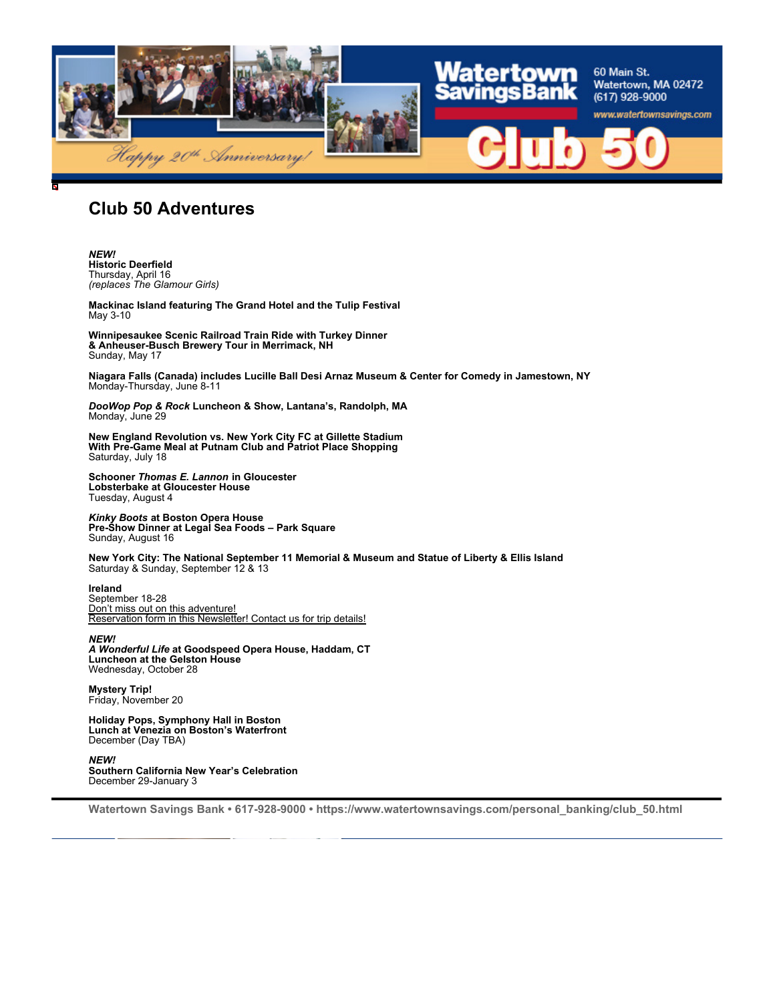

## **Club 50 Adventures**

*NEW!* **Historic Deerfield** Thursday, April 16 *(replaces The Glamour Girls)*

**Mackinac Island featuring The Grand Hotel and the Tulip Festival** May 3-10

**Winnipesaukee Scenic Railroad Train Ride with Turkey Dinner & Anheuser-Busch Brewery Tour in Merrimack, NH** Sunday, May 17

**Niagara Falls (Canada) includes Lucille Ball Desi Arnaz Museum & Center for Comedy in Jamestown, NY** Monday-Thursday, June 8-11

*DooWop Pop & Rock* **Luncheon & Show, Lantana's, Randolph, MA** Monday, June 29

**New England Revolution vs. New York City FC at Gillette Stadium With Pre-Game Meal at Putnam Club and Patriot Place Shopping** Saturday, July 18

**Schooner** *Thomas E. Lannon* **in Gloucester Lobsterbake at Gloucester House** Tuesday, August 4

*Kinky Boots* **at Boston Opera House Pre-Show Dinner at Legal Sea Foods – Park Square** Sunday, August 16

**New York City: The National September 11 Memorial & Museum and Statue of Liberty & Ellis Island** Saturday & Sunday, September 12 & 13

**Ireland**

September 18-28 Don't miss out on this adventure! Reservation form in this Newsletter! Contact us for trip details!

*NEW! A Wonderful Life* **at Goodspeed Opera House, Haddam, CT Luncheon at the Gelston House** Wednesday, October 28

**Mystery Trip!** Friday, November 20

**Holiday Pops, Symphony Hall in Boston Lunch at Venezia on Boston's Waterfront** December (Day TBA)

*NEW!* **Southern California New Year's Celebration** December 29-January 3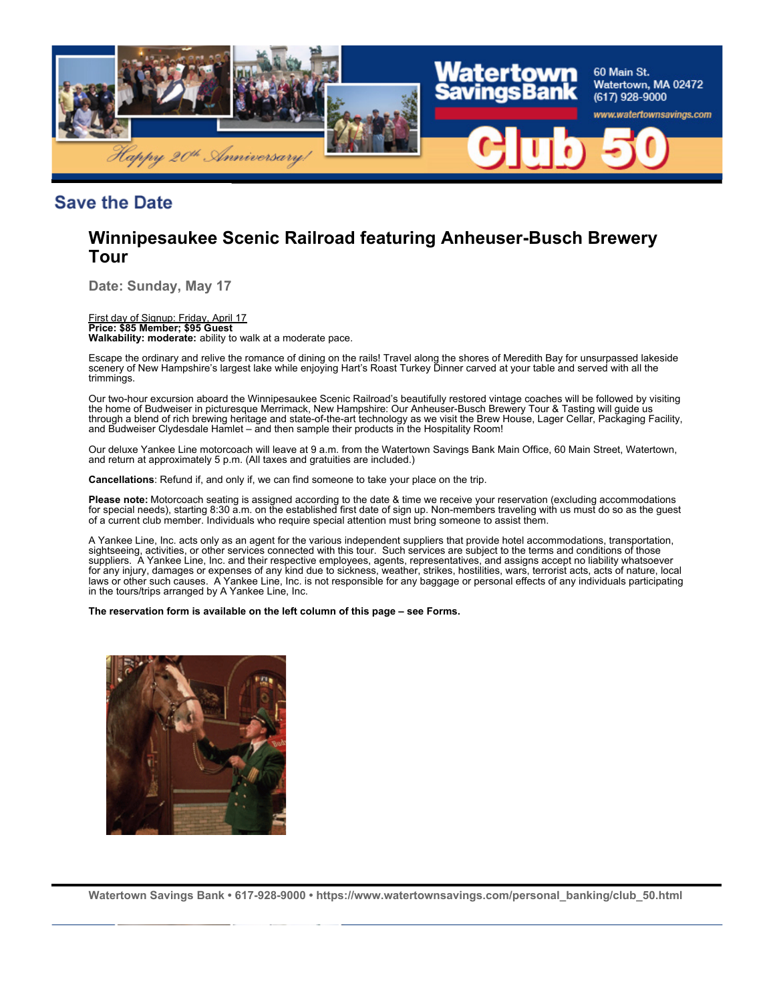

### **Save the Date**

## **Winnipesaukee Scenic Railroad featuring Anheuser-Busch Brewery Tour**

**Date: Sunday, May 17**

### First day of Signup: Friday, April 17

**Price: \$85 Member; \$95 Guest Walkability: moderate:** ability to walk at a moderate pace.

Escape the ordinary and relive the romance of dining on the rails! Travel along the shores of Meredith Bay for unsurpassed lakeside scenery of New Hampshire's largest lake while enjoying Hart's Roast Turkey Dinner carved at your table and served with all the trimmings.

Our two-hour excursion aboard the Winnipesaukee Scenic Railroad's beautifully restored vintage coaches will be followed by visiting the home of Budweiser in picturesque Merrimack, New Hampshire: Our Anheuser-Busch Brewery Tour & Tasting will guide us through a blend of rich brewing heritage and state-of-the-art technology as we visit the Brew House, Lager Cellar, Packaging Facility, and Budweiser Clydesdale Hamlet – and then sample their products in the Hospitality Room!

Our deluxe Yankee Line motorcoach will leave at 9 a.m. from the Watertown Savings Bank Main Office, 60 Main Street, Watertown, and return at approximately 5 p.m. (All taxes and gratuities are included.)

**Cancellations**: Refund if, and only if, we can find someone to take your place on the trip.

**Please note:** Motorcoach seating is assigned according to the date & time we receive your reservation (excluding accommodations for special needs), starting 8:30 a.m. on the established first date of sign up. Non-members traveling with us must do so as the guest of a current club member. Individuals who require special attention must bring someone to assist them.

A Yankee Line, Inc. acts only as an agent for the various independent suppliers that provide hotel accommodations, transportation, sightseeing, activities, or other services connected with this tour. Such services are subject to the terms and conditions of those suppliers. A Yankee Line, Inc. and their respective employees, agents, representatives, and assigns accept no liability whatsoever for any injury, damages or expenses of any kind due to sickness, weather, strikes, hostilities, wars, terrorist acts, acts of nature, local laws or other such causes. A Yankee Line, Inc. is not responsible for any baggage or personal effects of any individuals participating in the tours/trips arranged by A Yankee Line, Inc.

**The reservation form is available on the left column of this page – see Forms.**

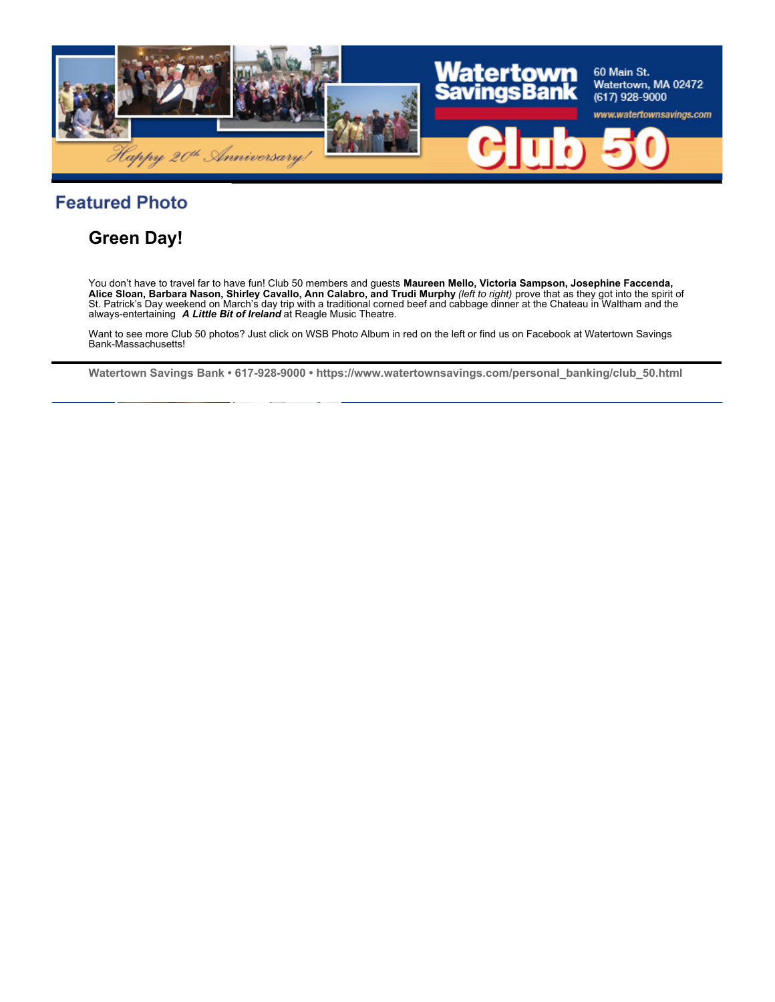

# **Featured Photo**

## **Green Day!**

You don't have to travel far to have fun! Club 50 members and guests **Maureen Mello, Victoria Sampson, Josephine Faccenda,**<br>**Alice Sloan, Barbara Nason, Shirley Cavallo, Ann Calabro, and Trudi Murphy** *(left to right)* pro St. Patrick's Day weekend on March's day trip with a traditional corned beef and cabbage dinner at the Chateau in Waltham and the always-entertaining *A Little Bit of Ireland* at Reagle Music Theatre.

Want to see more Club 50 photos? Just click on WSB Photo Album in red on the left or find us on Facebook at Watertown Savings Bank-Massachusetts!